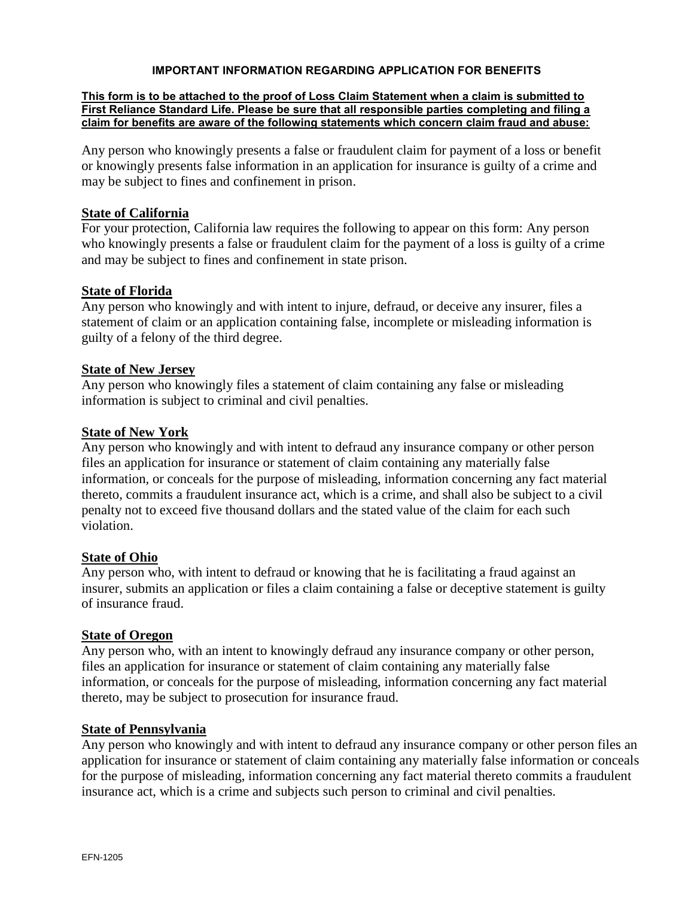#### **IMPORTANT INFORMATION REGARDING APPLICATION FOR BENEFITS**

#### **This form is to be attached to the proof of Loss Claim Statement when a claim is submitted to First Reliance Standard Life. Please be sure that all responsible parties completing and filing a claim for benefits are aware of the following statements which concern claim fraud and abuse:**

Any person who knowingly presents a false or fraudulent claim for payment of a loss or benefit or knowingly presents false information in an application for insurance is guilty of a crime and may be subject to fines and confinement in prison.

#### **State of California**

For your protection, California law requires the following to appear on this form: Any person who knowingly presents a false or fraudulent claim for the payment of a loss is guilty of a crime and may be subject to fines and confinement in state prison.

### **State of Florida**

Any person who knowingly and with intent to injure, defraud, or deceive any insurer, files a statement of claim or an application containing false, incomplete or misleading information is guilty of a felony of the third degree.

### **State of New Jersey**

Any person who knowingly files a statement of claim containing any false or misleading information is subject to criminal and civil penalties.

### **State of New York**

Any person who knowingly and with intent to defraud any insurance company or other person files an application for insurance or statement of claim containing any materially false information, or conceals for the purpose of misleading, information concerning any fact material thereto, commits a fraudulent insurance act, which is a crime, and shall also be subject to a civil penalty not to exceed five thousand dollars and the stated value of the claim for each such violation.

## **State of Ohio**

Any person who, with intent to defraud or knowing that he is facilitating a fraud against an insurer, submits an application or files a claim containing a false or deceptive statement is guilty of insurance fraud.

#### **State of Oregon**

Any person who, with an intent to knowingly defraud any insurance company or other person, files an application for insurance or statement of claim containing any materially false information, or conceals for the purpose of misleading, information concerning any fact material thereto, may be subject to prosecution for insurance fraud.

#### **State of Pennsylvania**

Any person who knowingly and with intent to defraud any insurance company or other person files an application for insurance or statement of claim containing any materially false information or conceals for the purpose of misleading, information concerning any fact material thereto commits a fraudulent insurance act, which is a crime and subjects such person to criminal and civil penalties.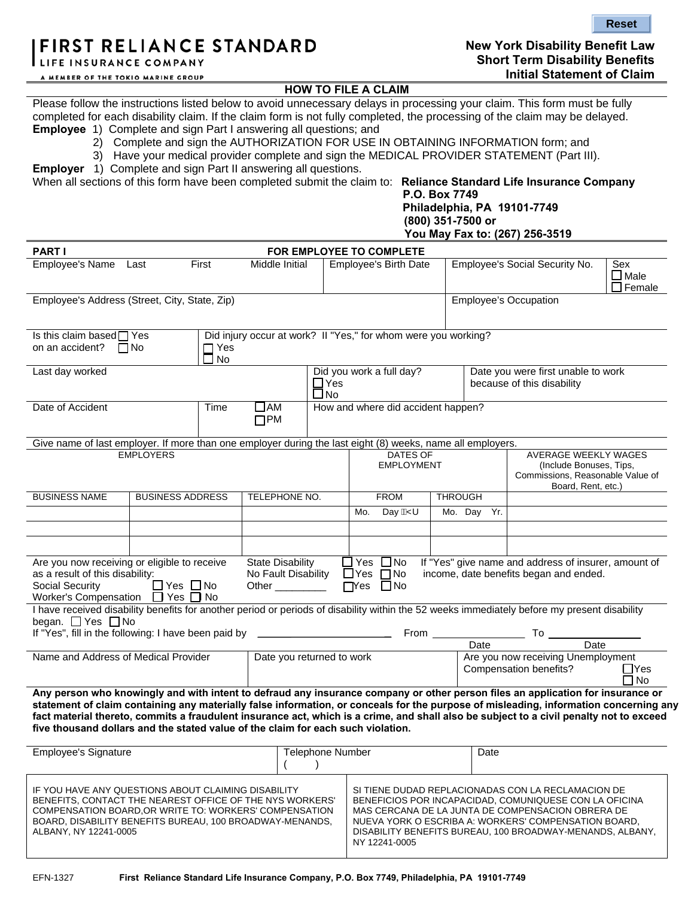# FIRST RELIANCE STANDARD

LIFE INSURANCE COMPANY

**Reset**

### **HOW TO FILE A CLAIM**

Please follow the instructions listed below to avoid unnecessary delays in processing your claim. This form must be fully completed for each disability claim. If the claim form is not fully completed, the processing of the claim may be delayed. **Employee** 1) Complete and sign Part I answering all questions; and

- 2) Complete and sign the AUTHORIZATION FOR USE IN OBTAINING INFORMATION form; and
	- 3) Have your medical provider complete and sign the MEDICAL PROVIDER STATEMENT (Part III).

**Employer** 1) Complete and sign Part II answering all questions.

When all sections of this form have been completed submit the claim to: **Reliance Standard Life Insurance Company**

#### **P.O. Box 7749 Philadelphia, PA 19101-7749 (800) 351-7500 or You May Fax to: (267) 256-3519**

|                                                                                                                                                                                                                                                                                                                                                                                                                                                                                                         |                                 |                           |                                                                |                              |                                                                                              |  |                                | 100 May Fax to: (207) 256-3519                                                                                                                                                                                                                                                         |                            |  |
|---------------------------------------------------------------------------------------------------------------------------------------------------------------------------------------------------------------------------------------------------------------------------------------------------------------------------------------------------------------------------------------------------------------------------------------------------------------------------------------------------------|---------------------------------|---------------------------|----------------------------------------------------------------|------------------------------|----------------------------------------------------------------------------------------------|--|--------------------------------|----------------------------------------------------------------------------------------------------------------------------------------------------------------------------------------------------------------------------------------------------------------------------------------|----------------------------|--|
| <b>PART I</b>                                                                                                                                                                                                                                                                                                                                                                                                                                                                                           |                                 |                           |                                                                |                              | FOR EMPLOYEE TO COMPLETE                                                                     |  |                                |                                                                                                                                                                                                                                                                                        |                            |  |
| Employee's Name                                                                                                                                                                                                                                                                                                                                                                                                                                                                                         | First<br>Middle Initial<br>Last |                           |                                                                | <b>Employee's Birth Date</b> |                                                                                              |  | Employee's Social Security No. | Sex<br>$\square$ Male<br>$\Box$ Female                                                                                                                                                                                                                                                 |                            |  |
| Employee's Address (Street, City, State, Zip)                                                                                                                                                                                                                                                                                                                                                                                                                                                           |                                 |                           |                                                                |                              |                                                                                              |  | <b>Employee's Occupation</b>   |                                                                                                                                                                                                                                                                                        |                            |  |
| Is this claim based $\Box$ Yes                                                                                                                                                                                                                                                                                                                                                                                                                                                                          |                                 |                           |                                                                |                              | Did injury occur at work? I~"Yes," for whom were you working?                                |  |                                |                                                                                                                                                                                                                                                                                        |                            |  |
| on an accident? $\Box$ No                                                                                                                                                                                                                                                                                                                                                                                                                                                                               |                                 | $\Box$ Yes<br><b>□</b> No |                                                                |                              |                                                                                              |  |                                |                                                                                                                                                                                                                                                                                        |                            |  |
| Last day worked                                                                                                                                                                                                                                                                                                                                                                                                                                                                                         |                                 |                           |                                                                | $\prod_{\text{No}}$          | Did you work a full day?<br>Date you were first unable to work<br>because of this disability |  |                                |                                                                                                                                                                                                                                                                                        |                            |  |
| Date of Accident                                                                                                                                                                                                                                                                                                                                                                                                                                                                                        |                                 | Time                      | $\square$ AM<br>$\Box$ PM                                      |                              | How and where did accident happen?                                                           |  |                                |                                                                                                                                                                                                                                                                                        |                            |  |
| Give name of last employer. If more than one employer during the last eight (8) weeks, name all employers.                                                                                                                                                                                                                                                                                                                                                                                              |                                 |                           |                                                                |                              |                                                                                              |  |                                |                                                                                                                                                                                                                                                                                        |                            |  |
|                                                                                                                                                                                                                                                                                                                                                                                                                                                                                                         | <b>EMPLOYERS</b>                |                           |                                                                |                              | <b>DATES OF</b><br><b>EMPLOYMENT</b>                                                         |  |                                | <b>AVERAGE WEEKLY WAGES</b><br>(Include Bonuses, Tips,<br>Commissions, Reasonable Value of<br>Board, Rent, etc.)                                                                                                                                                                       |                            |  |
| <b>BUSINESS NAME</b>                                                                                                                                                                                                                                                                                                                                                                                                                                                                                    | <b>BUSINESS ADDRESS</b>         |                           | TELEPHONE NO.                                                  |                              | <b>FROM</b>                                                                                  |  | <b>THROUGH</b>                 |                                                                                                                                                                                                                                                                                        |                            |  |
|                                                                                                                                                                                                                                                                                                                                                                                                                                                                                                         |                                 |                           |                                                                |                              | Day AY<br>Mo.                                                                                |  | Mo. Day Yr.                    |                                                                                                                                                                                                                                                                                        |                            |  |
|                                                                                                                                                                                                                                                                                                                                                                                                                                                                                                         |                                 |                           |                                                                |                              |                                                                                              |  |                                |                                                                                                                                                                                                                                                                                        |                            |  |
| Are you now receiving or eligible to receive<br>as a result of this disability:<br>Social Security<br>Worker's Compensation □ Yes □ No                                                                                                                                                                                                                                                                                                                                                                  | $\Box$ Yes $\Box$ No            |                           | <b>State Disability</b><br>No Fault Disability<br>Other $\_\_$ |                              | $\Box$ Yes $\Box$ No<br>$\Box$ Yes $\Box$ No<br>$\Box$ Yes<br>$\Box$ No                      |  |                                | If "Yes" give name and address of insurer, amount of<br>income, date benefits began and ended.                                                                                                                                                                                         |                            |  |
| began. DYes DNo<br>If "Yes", fill in the following: I have been paid by                                                                                                                                                                                                                                                                                                                                                                                                                                 |                                 |                           |                                                                |                              |                                                                                              |  |                                | I have received disability benefits for another period or periods of disability within the 52 weeks immediately before my present disability                                                                                                                                           |                            |  |
|                                                                                                                                                                                                                                                                                                                                                                                                                                                                                                         |                                 |                           |                                                                |                              |                                                                                              |  |                                | To Date The Date To Date Date Date                                                                                                                                                                                                                                                     |                            |  |
| Name and Address of Medical Provider                                                                                                                                                                                                                                                                                                                                                                                                                                                                    |                                 |                           | Date you returned to work                                      |                              |                                                                                              |  |                                | Are you now receiving Unemployment<br>Compensation benefits?                                                                                                                                                                                                                           | $\Box$ Yes<br>$\square$ No |  |
| Any person who knowingly and with intent to defraud any insurance company or other person files an application for insurance or<br>statement of claim containing any materially false information, or conceals for the purpose of misleading, information concerning any<br>fact material thereto, commits a fraudulent insurance act, which is a crime, and shall also be subject to a civil penalty not to exceed<br>five thousand dollars and the stated value of the claim for each such violation. |                                 |                           |                                                                |                              |                                                                                              |  |                                |                                                                                                                                                                                                                                                                                        |                            |  |
| <b>Employee's Signature</b>                                                                                                                                                                                                                                                                                                                                                                                                                                                                             |                                 |                           |                                                                | <b>Telephone Number</b>      |                                                                                              |  | Date                           |                                                                                                                                                                                                                                                                                        |                            |  |
| IF YOU HAVE ANY QUESTIONS ABOUT CLAIMING DISABILITY<br>BENEFITS, CONTACT THE NEAREST OFFICE OF THE NYS WORKERS'<br>COMPENSATION BOARD, OR WRITE TO: WORKERS' COMPENSATION<br>BOARD, DISABILITY BENEFITS BUREAU, 100 BROADWAY-MENANDS,<br>ALBANY, NY 12241-0005                                                                                                                                                                                                                                          |                                 |                           |                                                                |                              |                                                                                              |  |                                | SI TIENE DUDAD REPLACIONADAS CON LA RECLAMACION DE<br>BENEFICIOS POR INCAPACIDAD, COMUNIQUESE CON LA OFICINA<br>MAS CERCANA DE LA JUNTA DE COMPENSACION OBRERA DE<br>NUEVA YORK O ESCRIBA A: WORKERS' COMPENSATION BOARD,<br>DISABILITY BENEFITS BUREAU, 100 BROADWAY-MENANDS, ALBANY. |                            |  |

NY 12241-0005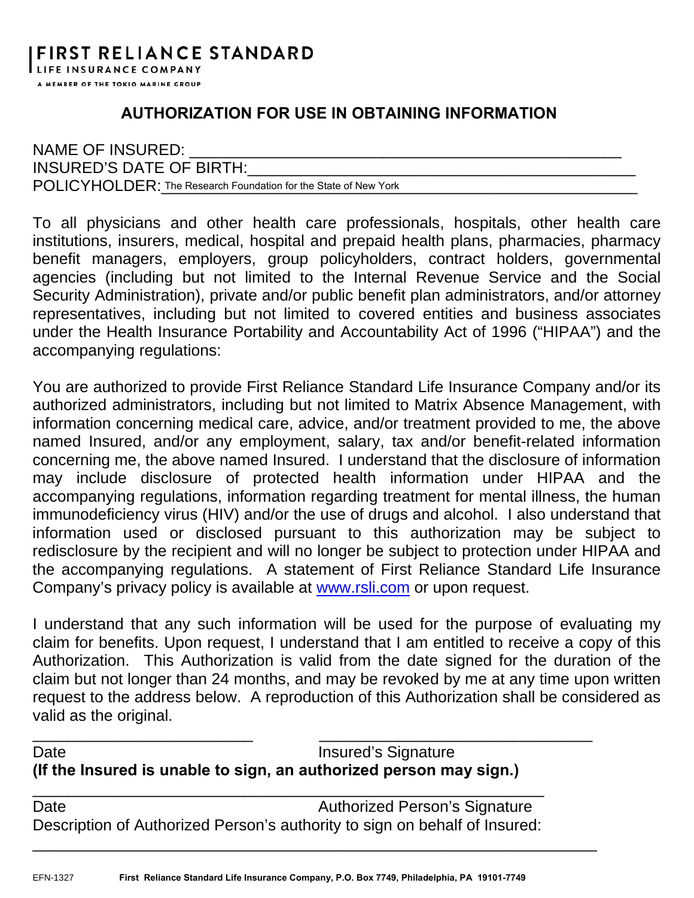## **AUTHORIZATION FOR USE IN OBTAINING INFORMATION**

| NAME OF INSURED:                                                |
|-----------------------------------------------------------------|
| INSURED'S DATE OF BIRTH:                                        |
| POLICYHOLDER: The Research Foundation for the State of New York |

To all physicians and other health care professionals, hospitals, other health care institutions, insurers, medical, hospital and prepaid health plans, pharmacies, pharmacy benefit managers, employers, group policyholders, contract holders, governmental agencies (including but not limited to the Internal Revenue Service and the Social Security Administration), private and/or public benefit plan administrators, and/or attorney representatives, including but not limited to covered entities and business associates under the Health Insurance Portability and Accountability Act of 1996 ("HIPAA") and the accompanying regulations:

You are authorized to provide First Reliance Standard Life Insurance Company and/or its authorized administrators, including but not limited to Matrix Absence Management, with information concerning medical care, advice, and/or treatment provided to me, the above named Insured, and/or any employment, salary, tax and/or benefit-related information concerning me, the above named Insured. I understand that the disclosure of information may include disclosure of protected health information under HIPAA and the accompanying regulations, information regarding treatment for mental illness, the human immunodeficiency virus (HIV) and/or the use of drugs and alcohol. I also understand that information used or disclosed pursuant to this authorization may be subject to redisclosure by the recipient and will no longer be subject to protection under HIPAA and the accompanying regulations. A statement of First Reliance Standard Life Insurance Company's privacy policy is available at www.rsli.com or upon request.

I understand that any such information will be used for the purpose of evaluating my claim for benefits. Upon request, I understand that I am entitled to receive a copy of this Authorization. This Authorization is valid from the date signed for the duration of the claim but not longer than 24 months, and may be revoked by me at any time upon written request to the address below. A reproduction of this Authorization shall be considered as valid as the original.

Date **Insured's Signature (If the Insured is unable to sign, an authorized person may sign.)**

\_\_\_\_\_\_\_\_\_\_\_\_\_\_\_\_\_\_\_\_\_\_\_\_\_ \_\_\_\_\_\_\_\_\_\_\_\_\_\_\_\_\_\_\_\_\_\_\_\_\_\_\_\_\_\_\_

\_\_\_\_\_\_\_\_\_\_\_\_\_\_\_\_\_\_\_\_\_\_\_\_\_\_\_\_\_\_\_\_\_\_\_\_\_\_\_\_\_\_\_\_\_\_\_\_\_\_\_\_\_\_\_\_\_\_\_\_\_\_\_\_

Date **Date Authorized Person's Signature** Description of Authorized Person's authority to sign on behalf of Insured:

\_\_\_\_\_\_\_\_\_\_\_\_\_\_\_\_\_\_\_\_\_\_\_\_\_\_ \_\_\_\_\_\_\_\_\_\_\_\_\_\_\_\_\_\_\_\_\_\_\_\_\_\_\_\_\_\_\_\_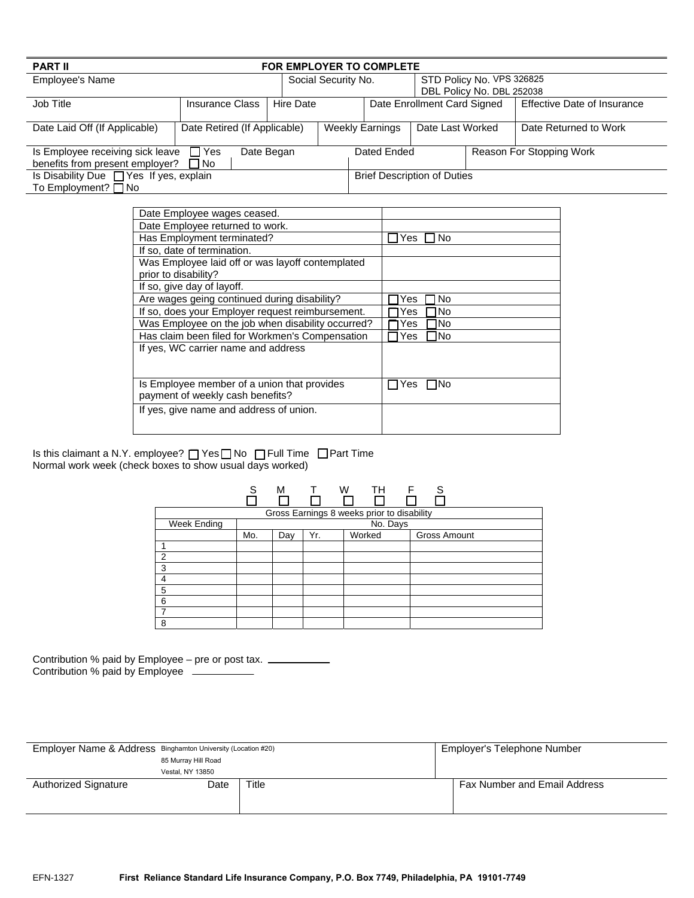| <b>PART II</b>                                                |  |                                    |                     | <b>FOR EMPLOYER TO COMPLETE</b>            |                           |  |                             |  |
|---------------------------------------------------------------|--|------------------------------------|---------------------|--------------------------------------------|---------------------------|--|-----------------------------|--|
| Employee's Name                                               |  |                                    | Social Security No. |                                            | STD Policy No. VPS 326825 |  |                             |  |
|                                                               |  |                                    |                     |                                            | DBL Policy No. DBL 252038 |  |                             |  |
| Job Title<br><b>Insurance Class</b>                           |  | Hire Date                          |                     | Date Enrollment Card Signed                |                           |  | Effective Date of Insurance |  |
|                                                               |  |                                    |                     |                                            |                           |  |                             |  |
| Date Retired (If Applicable)<br>Date Laid Off (If Applicable) |  |                                    |                     | <b>Weekly Earnings</b><br>Date Last Worked |                           |  | Date Returned to Work       |  |
|                                                               |  |                                    |                     |                                            |                           |  |                             |  |
| Is Employee receiving sick leave<br>Date Began<br>$\Box$ Yes  |  |                                    | Dated Ended         |                                            |                           |  | Reason For Stopping Work    |  |
| benefits from present employer?                               |  |                                    |                     |                                            |                           |  |                             |  |
| Is Disability Due □ Yes If yes, explain                       |  | <b>Brief Description of Duties</b> |                     |                                            |                           |  |                             |  |
| To Employment? $\Box$ No                                      |  |                                    |                     |                                            |                           |  |                             |  |

| Date Employee wages ceased.                       |                           |
|---------------------------------------------------|---------------------------|
| Date Employee returned to work.                   |                           |
| Has Employment terminated?                        | No<br>Yes                 |
| If so, date of termination.                       |                           |
| Was Employee laid off or was layoff contemplated  |                           |
| prior to disability?                              |                           |
| If so, give day of layoff.                        |                           |
| Are wages geing continued during disability?      | No<br>Yes                 |
| If so, does your Employer request reimbursement.  | No<br>Yes                 |
| Was Employee on the job when disability occurred? | INo<br>Yes                |
| Has claim been filed for Workmen's Compensation   | lNo<br>Yes                |
| If yes, WC carrier name and address               |                           |
|                                                   |                           |
|                                                   |                           |
| Is Employee member of a union that provides       | <b>INo</b><br><b>IYes</b> |
| payment of weekly cash benefits?                  |                           |
| If yes, give name and address of union.           |                           |
|                                                   |                           |

Is this claimant a N.Y. employee?  $\Box$  Yes  $\Box$  No  $\Box$  Full Time  $\Box$  Part Time Normal work week (check boxes to show usual days worked)

|                | S   | M                                          | $\top$ | W | TH     | F | S            |  |
|----------------|-----|--------------------------------------------|--------|---|--------|---|--------------|--|
|                |     | Gross Earnings 8 weeks prior to disability |        |   |        |   |              |  |
| Week Ending    |     | No. Days                                   |        |   |        |   |              |  |
|                | Mo. | Day                                        | Yr.    |   | Worked |   | Gross Amount |  |
| ø              |     |                                            |        |   |        |   |              |  |
| $\overline{2}$ |     |                                            |        |   |        |   |              |  |
| 3              |     |                                            |        |   |        |   |              |  |
| 4              |     |                                            |        |   |        |   |              |  |
| 5              |     |                                            |        |   |        |   |              |  |
| 6              |     |                                            |        |   |        |   |              |  |
| $\overline{7}$ |     |                                            |        |   |        |   |              |  |
| 8              |     |                                            |        |   |        |   |              |  |

Contribution % paid by Employee – pre or post tax. Contribution % paid by Employee

| Employer Name & Address Binghamton University (Location #20) |                  | Employer's Telephone Number |  |                              |  |
|--------------------------------------------------------------|------------------|-----------------------------|--|------------------------------|--|
| 85 Murray Hill Road                                          |                  |                             |  |                              |  |
|                                                              | Vestal, NY 13850 |                             |  |                              |  |
| <b>Authorized Signature</b>                                  | Date             | Title                       |  | Fax Number and Email Address |  |
|                                                              |                  |                             |  |                              |  |
|                                                              |                  |                             |  |                              |  |